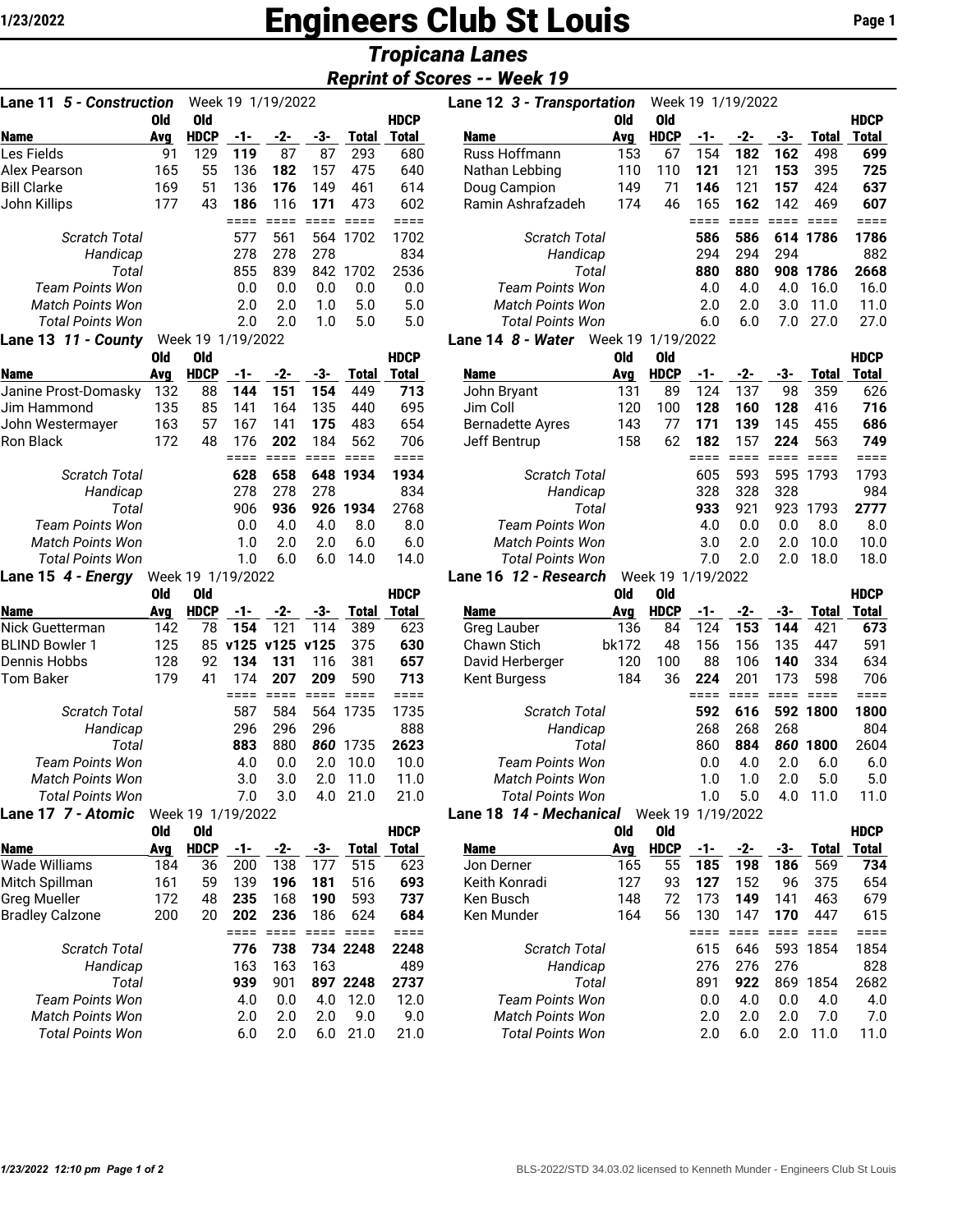## **1/23/2022 Engineers Club St Louis Page 1**

## *Tropicana Lanes*

| <b>Reprint of Scores -- Week 19</b> |  |
|-------------------------------------|--|

| <b>Lane 11 5 - Construction</b> |            | Week 19 1/19/2022         |               |                        |                        |                        |                        | Lane 12 3 - Transportation                |            |                           |               | Week 19 1/19/2022      |            |                              |                    |
|---------------------------------|------------|---------------------------|---------------|------------------------|------------------------|------------------------|------------------------|-------------------------------------------|------------|---------------------------|---------------|------------------------|------------|------------------------------|--------------------|
|                                 | 0ld        | 0ld                       |               |                        |                        |                        | <b>HDCP</b>            |                                           | Old        | <b>Old</b>                |               |                        |            |                              | <b>HDCF</b>        |
| Name<br>Les Fields              | Avg<br>91  | <b>HDCP</b><br>129        | -1-<br>119    | -2-<br>87              | -3-<br>87              | <b>Total</b><br>293    | <b>Total</b><br>680    | Name<br>Russ Hoffmann                     | Avg<br>153 | <b>HDCP</b><br>67         | -1-<br>154    | -2-<br>182             | -3-<br>162 | <b>Total</b><br>498          | <b>Total</b><br>69 |
| Alex Pearson                    | 165        | 55                        | 136           | 182                    | 157                    | 475                    | 640                    |                                           | 110        | 110                       | 121           | 121                    | 153        | 395                          | 72                 |
|                                 |            |                           |               | 176                    |                        |                        | 614                    | Nathan Lebbing                            |            | 71                        |               |                        |            |                              |                    |
| <b>Bill Clarke</b>              | 169        | 51                        | 136           |                        | 149                    | 461                    |                        | Doug Campion                              | 149<br>174 | 46                        | 146           | 121                    | 157        | 424                          | 63                 |
| John Killips                    | 177        | 43                        | 186<br>$====$ | 116<br>$====$          | 171<br>$=$ $=$ $=$ $=$ | 473<br>$=$ $=$ $=$ $=$ | 602<br>$=$ $=$ $=$ $=$ | Ramin Ashrafzadeh                         |            |                           | 165<br>====   | 162<br>$=$ $=$ $=$ $=$ | 142        | 469<br><b>EEEE</b> EEEE      | 60<br>===          |
| Scratch Total                   |            |                           | 577           | 561                    |                        | 564 1702               | 1702                   | Scratch Total                             |            |                           | 586           | 586                    |            | 614 1786                     | 178                |
| Handicap                        |            |                           | 278           | 278                    | 278                    |                        | 834                    | Handicap                                  |            |                           | 294           | 294                    | 294        |                              | 88                 |
| Total                           |            |                           | 855           | 839                    |                        | 842 1702               | 2536                   | Total                                     |            |                           | 880           | 880                    |            | 908 1786                     | 266                |
| <b>Team Points Won</b>          |            |                           | 0.0           | 0.0                    | 0.0                    | 0.0                    | 0.0                    | <b>Team Points Won</b>                    |            |                           | 4.0           | 4.0                    | 4.0        | 16.0                         | 16.1               |
| Match Points Won                |            |                           | 2.0           | 2.0                    | 1.0                    | 5.0                    | 5.0                    | Match Points Won                          |            |                           | 2.0           | 2.0                    | 3.0        | 11.0                         | 11.1               |
| <b>Total Points Won</b>         |            |                           | 2.0           | 2.0                    | 1.0                    | 5.0                    | 5.0                    | <b>Total Points Won</b>                   |            |                           | 6.0           | 6.0                    | 7.0        | 27.0                         | 27.1               |
| Lane 13 11 - County             |            | Week 19 1/19/2022         |               |                        |                        |                        |                        | Lane 14 8 - Water Week 19 1/19/2022       |            |                           |               |                        |            |                              |                    |
|                                 | <b>Old</b> | <b>Old</b>                |               |                        |                        |                        | <b>HDCP</b>            |                                           | Old        | <b>Old</b>                |               |                        |            |                              | <b>HDCF</b>        |
| <b>Name</b>                     | Avg        | <b>HDCP</b>               | -1-           | -2-                    | -3-                    | Total                  | <b>Total</b>           | <b>Name</b>                               | Avg        | <b>HDCP</b>               | -1-           | -2-                    | -3-        | <b>Total</b>                 | <b>Total</b>       |
| Janine Prost-Domasky            | 132        | 88                        | 144           | 151                    | 154                    | 449                    | 713                    | John Bryant                               | 131        | 89                        | 124           | 137                    | 98         | 359                          | 62                 |
| Jim Hammond                     | 135        | 85                        | 141           | 164                    | 135                    | 440                    | 695                    | Jim Coll                                  | 120        | 100                       | 128           | 160                    | 128        | 416                          | 71(                |
| John Westermayer                | 163        | 57                        | 167           | 141                    | 175                    | 483                    | 654                    | <b>Bernadette Ayres</b>                   | 143        | 77                        | 171           | 139                    | 145        | 455                          | 68                 |
| Ron Black                       | 172        | 48                        | 176           | 202                    | 184                    | 562                    | 706                    | Jeff Bentrup                              | 158        | 62                        | 182           | 157                    | 224        | 563                          | 74                 |
| <b>Scratch Total</b>            |            |                           | ====<br>628   | $=$ $=$ $=$ $=$<br>658 |                        | 648 1934               | $===$<br>1934          | <b>Scratch Total</b>                      |            |                           | $====$<br>605 | $= 222$<br>593         |            | <b>EEEE</b> EEEE<br>595 1793 | ===<br>179         |
| Handicap                        |            |                           | 278           | 278                    | 278                    |                        | 834                    | Handicap                                  |            |                           | 328           | 328                    | 328        |                              | 98                 |
| Total                           |            |                           | 906           | 936                    |                        | 926 1934               | 2768                   | Total                                     |            |                           | 933           | 921                    | 923        | 1793                         | 277                |
| <b>Team Points Won</b>          |            |                           | 0.0           | 4.0                    | 4.0                    | 8.0                    | 8.0                    | <b>Team Points Won</b>                    |            |                           | 4.0           | 0.0                    | 0.0        | 8.0                          | 8.1                |
| <b>Match Points Won</b>         |            |                           | 1.0           | 2.0                    | 2.0                    | 6.0                    | 6.0                    | <b>Match Points Won</b>                   |            |                           | 3.0           | 2.0                    | 2.0        | 10.0                         | 10.1               |
| <b>Total Points Won</b>         |            |                           | 1.0           | 6.0                    | 6.0                    | 14.0                   | 14.0                   | <b>Total Points Won</b>                   |            |                           | 7.0           | 2.0                    | 2.0        | 18.0                         | 18.1               |
| Lane 15 4 - Energy              |            | Week 19 1/19/2022         |               |                        |                        |                        |                        | Lane 16 12 - Research                     |            | Week 19 1/19/2022         |               |                        |            |                              |                    |
|                                 | <b>Old</b> | <b>Old</b>                |               |                        |                        |                        | <b>HDCP</b>            |                                           | <b>Old</b> | <b>Old</b>                |               |                        |            |                              | <b>HDCF</b>        |
| <b>Name</b>                     | Avg        | <b>HDCP</b>               | -1-           | -2-                    | -3-                    | <b>Total</b>           | <b>Total</b>           | Name                                      | Avg        | <b>HDCP</b>               | -1-           | -2-                    | -3-        | <b>Total</b>                 | <b>Total</b>       |
| Nick Guetterman                 | 142        | 78                        | 154           | 121                    | 114                    | 389                    | 623                    | Greg Lauber                               | 136        | 84                        | 124           | 153                    | 144        | 421                          | 67                 |
| <b>BLIND Bowler 1</b>           | 125        |                           | 85 v125 v125  |                        | v125                   | 375                    | 630                    | Chawn Stich                               | bk172      | 48                        | 156           | 156                    | 135        | 447                          | 59                 |
| Dennis Hobbs                    | 128        | 92                        | 134           | 131                    | 116                    | 381                    | 657                    | David Herberger                           | 120        | 100                       | 88            | 106                    | 140        | 334                          | 63                 |
| <b>Tom Baker</b>                | 179        | 41                        | 174           | 207                    | 209                    | 590                    | 713                    | Kent Burgess                              | 184        | 36                        | 224           | 201                    | 173        | 598                          | 70                 |
|                                 |            |                           | $====$        | $=$ $=$ $=$ $=$        | $= 2222$ $= 2222$      |                        | $====$                 |                                           |            |                           | ====          | $= 222$                |            |                              | $==$               |
| Scratch Total                   |            |                           | 587           | 584                    |                        | 564 1735               | 1735                   | Scratch Total                             |            |                           | 592           | 616                    |            | 592 1800                     | 180                |
| Handicap                        |            |                           | 296           | 296                    | 296                    |                        | 888                    | Handicap                                  |            |                           | 268           | 268                    | 268        |                              | 80                 |
| Total                           |            |                           | 883           | 880                    |                        | 860 1735               | 2623                   | Total                                     |            |                           | 860           | 884                    | 860        | 1800                         | $260 -$            |
| <b>Team Points Won</b>          |            |                           | 4.0           | 0.0                    | 2.0                    | 10.0                   | 10.0                   | <b>Team Points Won</b>                    |            |                           | 0.0           | 4.0                    | 2.0        | 6.0                          | 6.1                |
| Match Points Won                |            |                           | 3.0           | 3.0                    | 2.0                    | 11.0                   | 11.0                   | Match Points Won                          |            |                           | 1.0           | 1.0                    | 2.0        | 5.0                          | 5.1                |
| <b>Total Points Won</b>         |            |                           | 7.0           | 3.0                    |                        | 4.0 21.0               | 21.0                   | <b>Total Points Won</b>                   |            |                           | 1.0           | 5.0                    | 4.0        | 11.0                         | 11.                |
| <b>Lane 17 7 - Atomic</b>       | <b>Old</b> | Week 19 1/19/2022         |               |                        |                        |                        | <b>HDCP</b>            | Lane 18 14 - Mechanical Week 19 1/19/2022 | 0ld        |                           |               |                        |            |                              | <b>HDCF</b>        |
| Name                            | <b>Avg</b> | <b>Old</b><br><b>HDCP</b> | $-1-$         | $-2-$                  | -3-                    | <b>Total</b>           | <b>Total</b>           | <b>Name</b>                               | <b>Avg</b> | <b>Old</b><br><b>HDCP</b> | $-1-$         | -2-                    | -3-        | <b>Total</b>                 | <b>Total</b>       |
| <b>Wade Williams</b>            | 184        | 36                        | 200           | 138                    | 177                    | 515                    | 623                    | Jon Derner                                | 165        | 55                        | 185           | 198                    | 186        | 569                          | 73                 |
| Mitch Spillman                  | 161        | 59                        | 139           | 196                    | 181                    | 516                    | 693                    | Keith Konradi                             | 127        | 93                        | 127           | 152                    | 96         | 375                          | 65                 |
| <b>Greg Mueller</b>             | 172        | 48                        | 235           | 168                    | 190                    | 593                    | 737                    | Ken Busch                                 | 148        | 72                        | 173           | 149                    | 141        | 463                          | 67                 |
| <b>Bradley Calzone</b>          | 200        | 20                        | 202           | 236                    | 186                    | 624                    | 684                    | Ken Munder                                | 164        | 56                        | 130           | 147                    | 170        | 447                          | 61                 |
|                                 |            |                           | $== ==$       | $===$                  | $=$ $=$ $=$ $=$        | $====$                 | $====$                 |                                           |            |                           | ====          | $====$                 | $====$     | $====$                       | ===                |
| <b>Scratch Total</b>            |            |                           | 776           | 738                    |                        | 734 2248               | 2248                   | <b>Scratch Total</b>                      |            |                           | 615           | 646                    |            | 593 1854                     | 185                |
| Handicap                        |            |                           | 163           | 163                    | 163                    |                        | 489                    | Handicap                                  |            |                           | 276           | 276                    | 276        |                              | 82                 |
| Total                           |            |                           | 939           | 901                    |                        | 897 2248               | 2737                   | Total                                     |            |                           | 891           | 922                    |            | 869 1854                     | 268                |
| <b>Team Points Won</b>          |            |                           | 4.0           | 0.0                    | 4.0                    | 12.0                   | 12.0                   | <b>Team Points Won</b>                    |            |                           | 0.0           | 4.0                    | 0.0        | 4.0                          | 4.1                |
| Match Points Won                |            |                           | 2.0           | 2.0                    | 2.0                    | 9.0                    | 9.0                    | Match Points Won                          |            |                           | 2.0           | 2.0                    | 2.0        | 7.0                          | 7.1                |
| <b>Total Points Won</b>         |            |                           | 6.0           | 2.0                    |                        | $6.0$ 21.0             | 21.0                   | <b>Total Points Won</b>                   |            |                           | 2.0           | 6.0                    | 2.0        | 11.0                         | 11.                |

| <b>Lane 11 <i>5 - Construction</i></b><br>Week 19 1/19/2022 |     |             |     |     |                   |              | Lane 12 3 - Transportation<br>Week 19 1/19/2022 |                         |     |             |     |     |     |          |              |  |
|-------------------------------------------------------------|-----|-------------|-----|-----|-------------------|--------------|-------------------------------------------------|-------------------------|-----|-------------|-----|-----|-----|----------|--------------|--|
|                                                             | 0ld | 0ld         |     |     |                   |              | <b>HDCP</b>                                     |                         | 0ld | 0ld         |     |     |     |          | <b>HDCP</b>  |  |
| Name                                                        | Avg | <b>HDCP</b> | -1- | -2- | -3-               | <b>Total</b> | <b>Total</b>                                    | <b>Name</b>             | Ava | <b>HDCP</b> | -1- | -2- | -3- | Total    | <b>Total</b> |  |
| Les Fields                                                  | 91  | 129         | 119 | 87  | 87                | 293          | 680                                             | Russ Hoffmann           | 153 | 67          | 154 | 182 | 162 | 498      | 699          |  |
| Alex Pearson                                                | 165 | 55          | 136 | 182 | 157               | 475          | 640                                             | Nathan Lebbing          | 110 | 110         | 121 | 121 | 153 | 395      | 725          |  |
| Bill Clarke                                                 | 169 | 51          | 136 | 176 | 149               | 461          | 614                                             | Doug Campion            | 149 | 71          | 146 | 121 | 157 | 424      | 637          |  |
| John Killips                                                | 177 | 43          | 186 | 116 | 171               | 473          | 602                                             | Ramin Ashrafzadeh       | 174 | 46          | 165 | 162 | 142 | 469      | 607          |  |
|                                                             |     |             |     |     |                   |              |                                                 |                         |     |             |     |     |     |          |              |  |
| <b>Scratch Total</b>                                        |     |             | 577 | 561 |                   | 564 1702     | 1702                                            | <b>Scratch Total</b>    |     |             | 586 | 586 |     | 614 1786 | 1786         |  |
| Handicap                                                    |     |             | 278 | 278 | 278               |              | 834                                             | Handicap                |     |             | 294 | 294 | 294 |          | 882          |  |
| Total                                                       |     |             | 855 | 839 | 842               | 1702         | 2536                                            | Total                   |     |             | 880 | 880 | 908 | 1786     | 2668         |  |
| Team Points Won                                             |     |             | 0.0 | 0.0 | 0.0               | 0.0          | 0.0                                             | <b>Team Points Won</b>  |     |             | 4.0 | 4.0 | 4.0 | 16.0     | 16.0         |  |
| <b>Match Points Won</b>                                     |     |             | 2.0 | 2.0 | 1.0               | 5.0          | 5.0                                             | <b>Match Points Won</b> |     |             | 2.0 | 2.0 | 3.0 | 11.0     | 11.0         |  |
| <b>Total Points Won</b>                                     |     |             | 2.0 | 2.0 | 1.0               | 5.0          | 5.0                                             | <b>Total Points Won</b> |     |             | 6.0 | 6.0 | 7.0 | 27.0     | 27.0         |  |
| Lane 13 11 - County<br>Week 19 1/19/2022                    |     |             |     |     | Lane 14 8 - Water |              | Week 19 1/19/2022                               |                         |     |             |     |     |     |          |              |  |

|                         | Old | 0ld         |     |     |     |          | <b>HDCP</b> |                         | Old | 0ld         |     |     |          |       | <b>HDCP</b> |  |
|-------------------------|-----|-------------|-----|-----|-----|----------|-------------|-------------------------|-----|-------------|-----|-----|----------|-------|-------------|--|
| Name                    | Avg | <b>HDCP</b> | -1- | -2- | -3- | Total    | Total       | <b>Name</b>             | Ava | <b>HDCP</b> | -1- | -2- | -3-      | Total | Total       |  |
| Janine Prost-Domasky    | 132 | 88          | 144 | 151 | 154 | 449      | 713         | John Bryant             | 131 | 89          | 124 | 137 | 98       | 359   | 626         |  |
| Jim Hammond             | 135 | 85          | 141 | 164 | 135 | 440      | 695         | Jim Coll                | 120 | 100         | 128 | 160 | 128      | 416   | 716         |  |
| John Westermaver        | 163 | 57          | 167 | 141 | 175 | 483      | 654         | <b>Bernadette Ayres</b> | 143 | 77          | 171 | 139 | 145      | 455   | 686         |  |
| Ron Black               | 172 | 48          | 176 | 202 | 184 | 562      | 706         | Jeff Bentrup            | 158 | 62          | 182 | 157 | 224      | 563   | 749         |  |
|                         |     |             |     |     |     |          |             |                         |     |             |     |     |          |       |             |  |
| <b>Scratch Total</b>    |     |             | 628 | 658 |     | 648 1934 | 1934        | <b>Scratch Total</b>    |     | 605         | 593 |     | 595 1793 | 1793  |             |  |
| Handicap                |     |             | 278 | 278 | 278 |          | 834         | Handicap                |     |             | 328 | 328 | 328      |       | 984         |  |
| Total                   |     |             | 906 | 936 | 926 | 1934     | 2768        | Total                   |     |             | 933 | 921 | 923      | 1793  | 2777        |  |
| Team Points Won         |     |             | 0.0 | 4.0 | 4.0 | 8.0      | 8.0         | Team Points Won         |     |             | 4.0 | 0.0 | 0.0      | 8.0   | 8.0         |  |
| <b>Match Points Won</b> |     |             | 1.0 | 2.0 | 2.0 | 6.0      | 6.0         | <b>Match Points Won</b> |     |             | 3.0 | 2.0 | 2.0      | 10.0  | 10.0        |  |
| <b>Total Points Won</b> |     |             | 1.0 | 6.0 | 6.0 | 14.0     | 14.0        | <b>Total Points Won</b> |     |             | 7.0 | 2.0 | 2.0      | 18.0  | 18.0        |  |
|                         |     |             |     |     |     |          |             |                         |     |             |     |     |          |       |             |  |

| - -                     | Old        | 0ld               |     |                |     |              | <b>HDCP</b>  |                                | 0ld        | 0ld         |     |           |     |          | <b>HDCP</b> |
|-------------------------|------------|-------------------|-----|----------------|-----|--------------|--------------|--------------------------------|------------|-------------|-----|-----------|-----|----------|-------------|
| Name                    | Ava        | <b>HDCP</b>       | -1- | -2-            | -3- | <b>Total</b> | Total        | <b>Name</b>                    | Avg        | <b>HDCP</b> | -1- | -2-       | -3- | Total    | Total       |
| Nick Guetterman         | 142        | 78                | 154 | 121            | 114 | 389          | 623          | Greg Lauber                    | 136        | 84          | 124 | 153       | 144 | 421      | 673         |
| <b>BLIND Bowler 1</b>   | 125        | 85                |     | v125 v125 v125 |     | 375          | 630          | Chawn Stich                    | bk172      | 48          | 156 | 156       | 135 | 447      | 591         |
| Dennis Hobbs            | 128        | 92                | 134 | 131            | 116 | 381          | 657          | David Herberger                | 120        | 100         | 88  | 106       | 140 | 334      | 634         |
| Tom Baker               | 179        | 41                | 174 | 207            | 209 | 590          | 713          | Kent Burgess                   | 184        | 36          | 224 | 201       | 173 | 598      | 706         |
|                         |            |                   |     |                |     |              |              |                                |            |             |     |           |     |          |             |
| <b>Scratch Total</b>    |            |                   | 587 | 584            | 564 | 1735         | 1735         | <b>Scratch Total</b>           |            |             | 592 | 616       |     | 592 1800 | 1800        |
| Handicap                |            |                   | 296 | 296            | 296 |              | 888          | Handicap                       |            |             | 268 | 268       | 268 |          | 804         |
| Total                   |            |                   | 883 | 880            | 860 | 1735         | 2623         | Total                          |            |             | 860 | 884       | 860 | 1800     | 2604        |
| <b>Team Points Won</b>  |            |                   | 4.0 | 0.0            | 2.0 | 10.0         | 10.0         | <b>Team Points Won</b>         |            |             | 0.0 | 4.0       | 2.0 | 6.0      | 6.0         |
| <b>Match Points Won</b> |            |                   | 3.0 | 3.0            | 2.0 | 11.0         | 11.0         | <b>Match Points Won</b>        |            |             | 1.0 | 1.0       | 2.0 | 5.0      | 5.0         |
| <b>Total Points Won</b> |            |                   | 7.0 | 3.0            | 4.0 | 21.0         | 21.0         | <b>Total Points Won</b>        |            |             | 1.0 | 5.0       | 4.0 | 11.0     | 11.0        |
| Lane 17  7 - Atomic     |            | Week 19 1/19/2022 |     |                |     |              |              | Lane 18 <i>14 - Mechanical</i> |            | Week 19     |     | 1/19/2022 |     |          |             |
|                         | <b>ALL</b> | AL.               |     |                |     |              | <b>LINOD</b> |                                | <b>AIJ</b> | ו הו        |     |           |     |          | <b>UDOD</b> |

| Old | Old         |     |     |     |          | <b>HDCP</b> |                         | <b>Old</b> | 0ld         |     |     |     |       | <b>HDCP</b> |
|-----|-------------|-----|-----|-----|----------|-------------|-------------------------|------------|-------------|-----|-----|-----|-------|-------------|
| Avg | <b>HDCP</b> | -1- | -2- | -3- | Total    | Total       | <b>Name</b>             | Avg        | <b>HDCP</b> | -1- | -2- | -3- | Total | Total       |
| 184 | 36          | 200 | 138 | 17/ | 515      | 623         | Jon Derner              | 165        | 55          | 185 | 198 | 186 | 569   | 734         |
| 161 | 59          | 139 | 196 | 181 | 516      | 693         | Keith Konradi           | 127        | 93          | 127 | 152 | 96  | 375   | 654         |
| 172 | 48          | 235 | 168 | 190 | 593      | 737         | Ken Busch               | 148        | 72          | 173 | 149 | 141 | 463   | 679         |
| 200 | 20          | 202 | 236 | 186 | 624      | 684         | Ken Munder              | 164        | 56          | 130 | 147 | 170 | 447   | 615         |
|     |             |     |     |     |          |             |                         |            |             |     |     |     |       |             |
|     |             | 776 | 738 |     | 734 2248 | 2248        | <b>Scratch Total</b>    |            |             | 615 | 646 | 593 | 1854  | 1854        |
|     |             | 163 | 163 | 163 |          | 489         | Handicap                |            |             | 276 | 276 | 276 |       | 828         |
|     |             | 939 | 901 |     | 897 2248 | 2737        | Total                   |            |             | 891 | 922 | 869 | 1854  | 2682        |
|     |             | 4.0 | 0.0 | 4.0 | 12.0     | 12.0        | Team Points Won         |            |             | 0.0 | 4.0 | 0.0 | 4.0   | 4.0         |
|     |             | 2.0 | 2.0 | 2.0 | 9.0      | 9.0         | <b>Match Points Won</b> |            |             | 2.0 | 2.0 | 2.0 | 7.0   | 7.0         |
|     |             | 6.0 | 2.0 | 6.0 | 21.0     | 21.0        | Total Points Won        |            |             | 2.0 | 6.0 | 2.0 | 11.0  | 11.0        |
|     |             |     |     |     |          |             |                         |            |             |     |     |     |       |             |